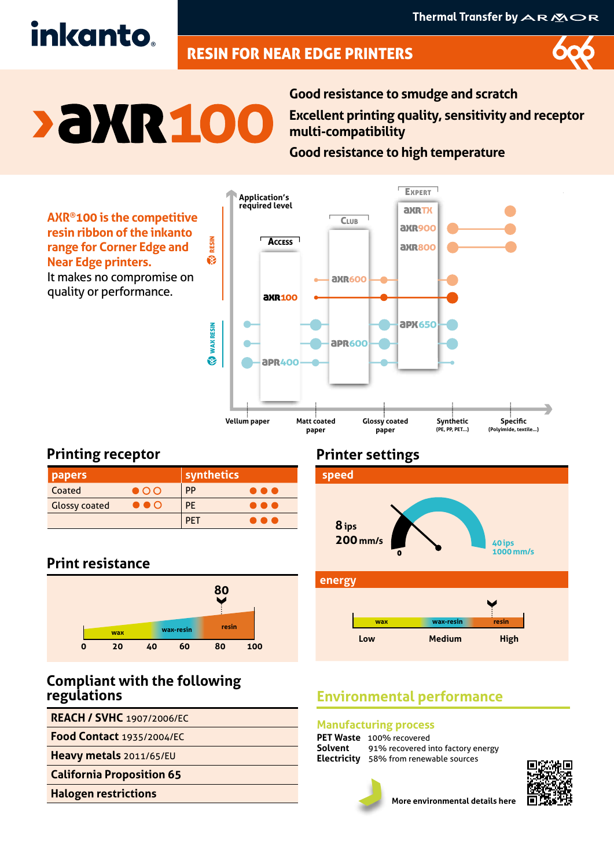# inkanto.

# RESIN FOR NEAR EDGE PRINTERS



# **> aXR 100**

**Good resistance to smudge and scratch Excellent printing quality, sensitivity and receptor multi-compatibility**

**Good resistance to high temperature**

**AXR®100 is the competitive resin ribbon of the inkanto range for Corner Edge and Near Edge printers.** It makes no compromise on quality or performance.



# **Printing receptor**

| <b>papers</b>        |                       | synthetics |   |
|----------------------|-----------------------|------------|---|
| Coated               | $\bullet$ OO          | PP         | . |
| <b>Glossy coated</b> | $\bullet\bullet\circ$ | PE         |   |
|                      |                       | PET        | . |

# **Print resistance**



# **Compliant with the following regulations**

**REACH / SVHC** 1907/2006/EC

**Food Contact** 1935/2004/EC

**Heavy metals** 2011/65/EU

**California Proposition 65**

**Halogen restrictions**

# **Printer settings**



# **Environmental performance**

### **Manufacturing process**

**PET Waste** 100% recovered<br>**Solvent** 91% recovered i 91% recovered into factory energy **Electricity** 58% from renewable sources





**More environmental details here**